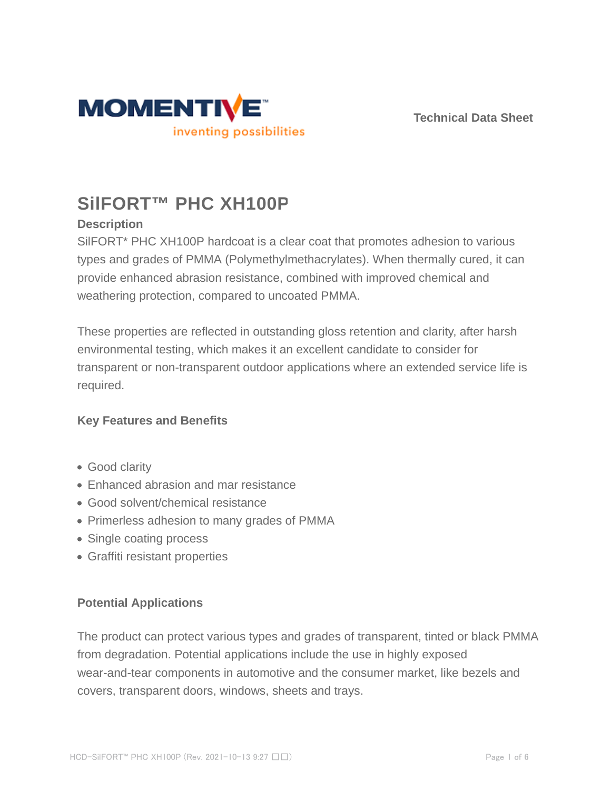



# **SilFORT™ PHC XH100P**

# **Description**

SilFORT\* PHC XH100P hardcoat is a clear coat that promotes adhesion to various types and grades of PMMA (Polymethylmethacrylates). When thermally cured, it can provide enhanced abrasion resistance, combined with improved chemical and weathering protection, compared to uncoated PMMA.

These properties are reflected in outstanding gloss retention and clarity, after harsh environmental testing, which makes it an excellent candidate to consider for transparent or non-transparent outdoor applications where an extended service life is required.

## **Key Features and Benefits**

- Good clarity
- Enhanced abrasion and mar resistance
- Good solvent/chemical resistance
- Primerless adhesion to many grades of PMMA
- Single coating process
- Graffiti resistant properties

# **Potential Applications**

The product can protect various types and grades of transparent, tinted or black PMMA from degradation. Potential applications include the use in highly exposed wear-and-tear components in automotive and the consumer market, like bezels and covers, transparent doors, windows, sheets and trays.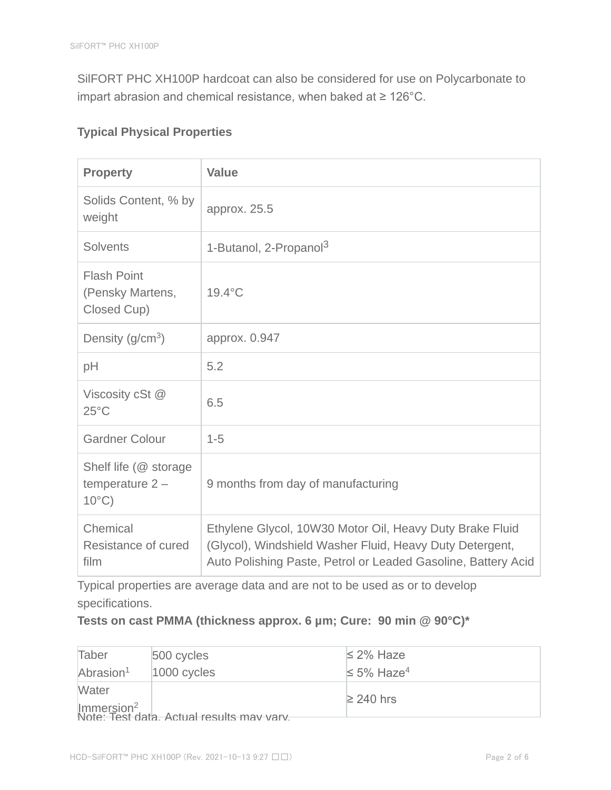SilFORT PHC XH100P hardcoat can also be considered for use on Polycarbonate to impart abrasion and chemical resistance, when baked at ≥ 126°C.

# **Typical Physical Properties**

| <b>Property</b>                                               | <b>Value</b>                                                                                                                                                                          |  |  |
|---------------------------------------------------------------|---------------------------------------------------------------------------------------------------------------------------------------------------------------------------------------|--|--|
| Solids Content, % by<br>weight                                | approx. 25.5                                                                                                                                                                          |  |  |
| <b>Solvents</b>                                               | 1-Butanol, 2-Propanol <sup>3</sup>                                                                                                                                                    |  |  |
| <b>Flash Point</b><br>(Pensky Martens,<br>Closed Cup)         | $19.4^{\circ}$ C                                                                                                                                                                      |  |  |
| Density $(g/cm3)$                                             | approx. 0.947                                                                                                                                                                         |  |  |
| pH                                                            | 5.2                                                                                                                                                                                   |  |  |
| Viscosity cSt @<br>$25^{\circ}$ C                             | 6.5                                                                                                                                                                                   |  |  |
| <b>Gardner Colour</b>                                         | $1 - 5$                                                                                                                                                                               |  |  |
| Shelf life (@ storage<br>temperature $2 -$<br>$10^{\circ}$ C) | 9 months from day of manufacturing                                                                                                                                                    |  |  |
| Chemical<br>Resistance of cured<br>film                       | Ethylene Glycol, 10W30 Motor Oil, Heavy Duty Brake Fluid<br>(Glycol), Windshield Washer Fluid, Heavy Duty Detergent,<br>Auto Polishing Paste, Petrol or Leaded Gasoline, Battery Acid |  |  |

Typical properties are average data and are not to be used as or to develop specifications.

## **Tests on cast PMMA (thickness approx. 6 µm; Cure: 90 min @ 90°C)\***

| Taber                                                               | 500 cycles    | $\leq$ 2% Haze               |  |
|---------------------------------------------------------------------|---------------|------------------------------|--|
| Abrasion <sup>1</sup>                                               | $1000$ cycles | $\leq 5\%$ Haze <sup>4</sup> |  |
| Water                                                               |               | $≥$ 240 hrs                  |  |
| Immersion <sup>2</sup><br>Note: Test data. Actual results may vary. |               |                              |  |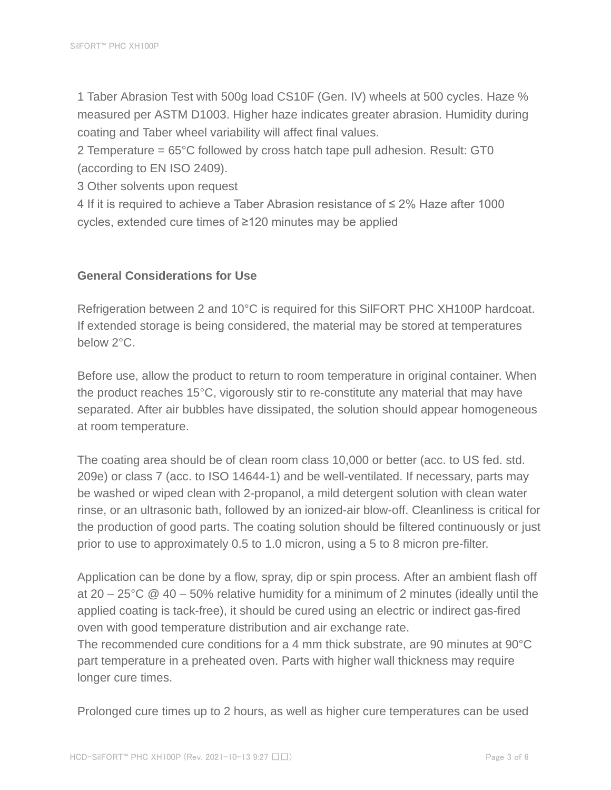1 Taber Abrasion Test with 500g load CS10F (Gen. IV) wheels at 500 cycles. Haze % measured per ASTM D1003. Higher haze indicates greater abrasion. Humidity during coating and Taber wheel variability will affect final values.

2 Temperature = 65°C followed by cross hatch tape pull adhesion. Result: GT0 (according to EN ISO 2409).

3 Other solvents upon request

4 If it is required to achieve a Taber Abrasion resistance of ≤ 2% Haze after 1000 cycles, extended cure times of ≥120 minutes may be applied

## **General Considerations for Use**

Refrigeration between 2 and 10°C is required for this SilFORT PHC XH100P hardcoat. If extended storage is being considered, the material may be stored at temperatures below 2°C.

Before use, allow the product to return to room temperature in original container. When the product reaches 15°C, vigorously stir to re-constitute any material that may have separated. After air bubbles have dissipated, the solution should appear homogeneous at room temperature.

The coating area should be of clean room class 10,000 or better (acc. to US fed. std. 209e) or class 7 (acc. to ISO 14644-1) and be well-ventilated. If necessary, parts may be washed or wiped clean with 2-propanol, a mild detergent solution with clean water rinse, or an ultrasonic bath, followed by an ionized-air blow-off. Cleanliness is critical for the production of good parts. The coating solution should be filtered continuously or just prior to use to approximately 0.5 to 1.0 micron, using a 5 to 8 micron pre-filter.

Application can be done by a flow, spray, dip or spin process. After an ambient flash off at 20 – 25°C  $\textcircled{2}$  40 – 50% relative humidity for a minimum of 2 minutes (ideally until the applied coating is tack-free), it should be cured using an electric or indirect gas-fired oven with good temperature distribution and air exchange rate.

The recommended cure conditions for a 4 mm thick substrate, are 90 minutes at 90°C part temperature in a preheated oven. Parts with higher wall thickness may require longer cure times.

Prolonged cure times up to 2 hours, as well as higher cure temperatures can be used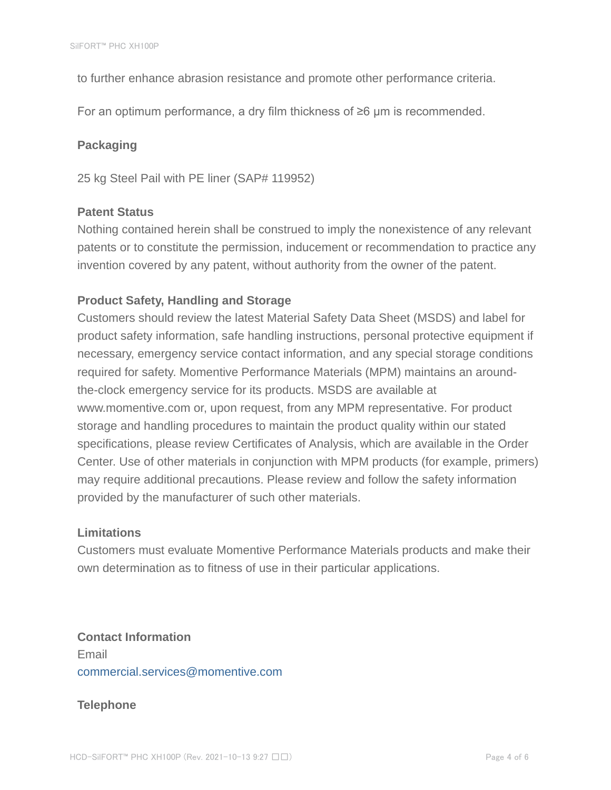to further enhance abrasion resistance and promote other performance criteria.

For an optimum performance, a dry film thickness of ≥6 µm is recommended.

## **Packaging**

25 kg Steel Pail with PE liner (SAP# 119952)

## **Patent Status**

Nothing contained herein shall be construed to imply the nonexistence of any relevant patents or to constitute the permission, inducement or recommendation to practice any invention covered by any patent, without authority from the owner of the patent.

## **Product Safety, Handling and Storage**

Customers should review the latest Material Safety Data Sheet (MSDS) and label for product safety information, safe handling instructions, personal protective equipment if necessary, emergency service contact information, and any special storage conditions required for safety. Momentive Performance Materials (MPM) maintains an aroundthe-clock emergency service for its products. MSDS are available at www.momentive.com or, upon request, from any MPM representative. For product storage and handling procedures to maintain the product quality within our stated specifications, please review Certificates of Analysis, which are available in the Order Center. Use of other materials in conjunction with MPM products (for example, primers) may require additional precautions. Please review and follow the safety information provided by the manufacturer of such other materials.

### **Limitations**

Customers must evaluate Momentive Performance Materials products and make their own determination as to fitness of use in their particular applications.

**Contact Information** Email commercial.services@momentive.com

### **Telephone**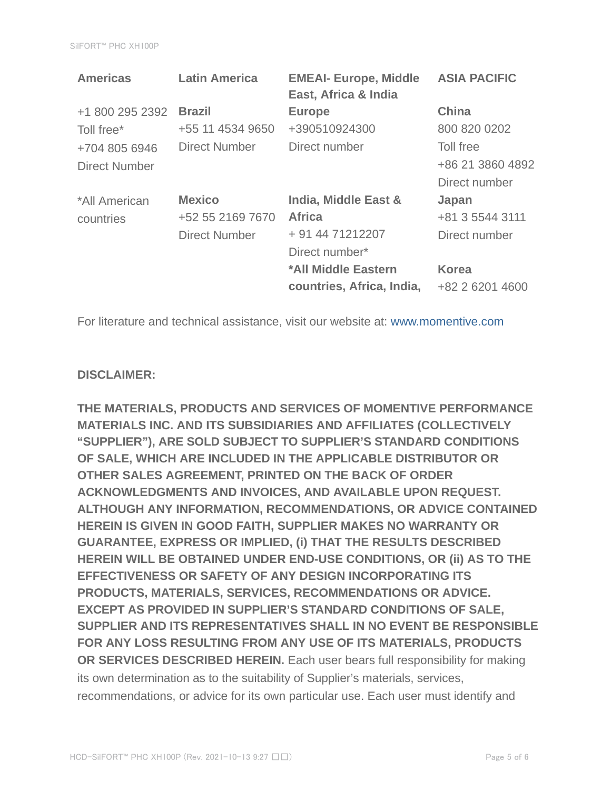| <b>Latin America</b> | <b>EMEAI- Europe, Middle</b><br>East, Africa & India | <b>ASIA PACIFIC</b> |
|----------------------|------------------------------------------------------|---------------------|
| <b>Brazil</b>        | <b>Europe</b>                                        | <b>China</b>        |
| +55 11 4534 9650     | +390510924300                                        | 800 820 0202        |
| Direct Number        | Direct number                                        | Toll free           |
|                      |                                                      | +86 21 3860 4892    |
|                      |                                                      | Direct number       |
| <b>Mexico</b>        | India, Middle East &                                 | Japan               |
| +52 55 2169 7670     | <b>Africa</b>                                        | +81 3 5544 3111     |
| <b>Direct Number</b> | + 91 44 71212207                                     | Direct number       |
|                      | Direct number*                                       |                     |
|                      | *All Middle Eastern                                  | <b>Korea</b>        |
|                      | countries, Africa, India,                            | +82 2 6201 4600     |
|                      |                                                      |                     |

For literature and technical assistance, visit our website at: www.momentive.com

### **DISCLAIMER:**

**THE MATERIALS, PRODUCTS AND SERVICES OF MOMENTIVE PERFORMANCE MATERIALS INC. AND ITS SUBSIDIARIES AND AFFILIATES (COLLECTIVELY "SUPPLIER"), ARE SOLD SUBJECT TO SUPPLIER'S STANDARD CONDITIONS OF SALE, WHICH ARE INCLUDED IN THE APPLICABLE DISTRIBUTOR OR OTHER SALES AGREEMENT, PRINTED ON THE BACK OF ORDER ACKNOWLEDGMENTS AND INVOICES, AND AVAILABLE UPON REQUEST. ALTHOUGH ANY INFORMATION, RECOMMENDATIONS, OR ADVICE CONTAINED HEREIN IS GIVEN IN GOOD FAITH, SUPPLIER MAKES NO WARRANTY OR GUARANTEE, EXPRESS OR IMPLIED, (i) THAT THE RESULTS DESCRIBED HEREIN WILL BE OBTAINED UNDER END-USE CONDITIONS, OR (ii) AS TO THE EFFECTIVENESS OR SAFETY OF ANY DESIGN INCORPORATING ITS PRODUCTS, MATERIALS, SERVICES, RECOMMENDATIONS OR ADVICE. EXCEPT AS PROVIDED IN SUPPLIER'S STANDARD CONDITIONS OF SALE, SUPPLIER AND ITS REPRESENTATIVES SHALL IN NO EVENT BE RESPONSIBLE FOR ANY LOSS RESULTING FROM ANY USE OF ITS MATERIALS, PRODUCTS OR SERVICES DESCRIBED HEREIN.** Each user bears full responsibility for making its own determination as to the suitability of Supplier's materials, services, recommendations, or advice for its own particular use. Each user must identify and